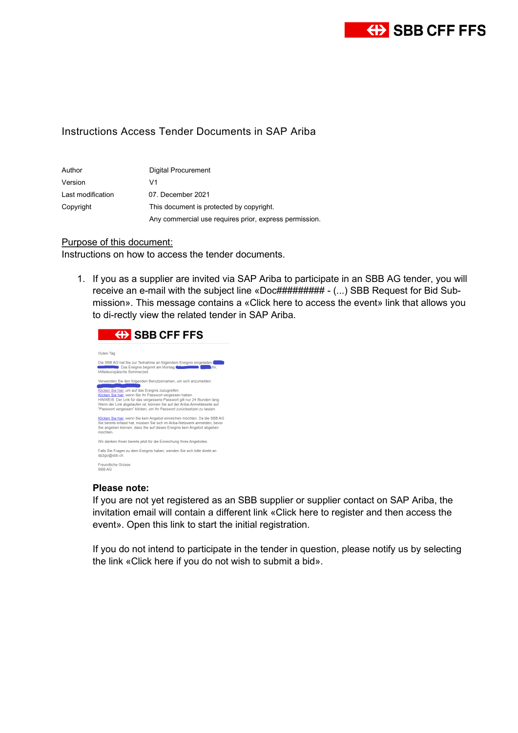

## Instructions Access Tender Documents in SAP Ariba

| Author            | Digital Procurement                                    |
|-------------------|--------------------------------------------------------|
| Version           | V1                                                     |
| Last modification | 07. December 2021                                      |
| Copyright         | This document is protected by copyright.               |
|                   | Any commercial use requires prior, express permission. |

## Purpose of this document:

Instructions on how to access the tender documents.

1. If you as a supplier are invited via SAP Ariba to participate in an SBB AG tender, you will receive an e-mail with the subject line «Doc######### - (...) SBB Request for Bid Submission». This message contains a «Click here to access the event» link that allows you to di-rectly view the related tender in SAP Ariba.



## **Please note:**

If you are not yet registered as an SBB supplier or supplier contact on SAP Ariba, the invitation email will contain a different link «Click here to register and then access the event». Open this link to start the initial registration.

If you do not intend to participate in the tender in question, please notify us by selecting the link «Click here if you do not wish to submit a bid».